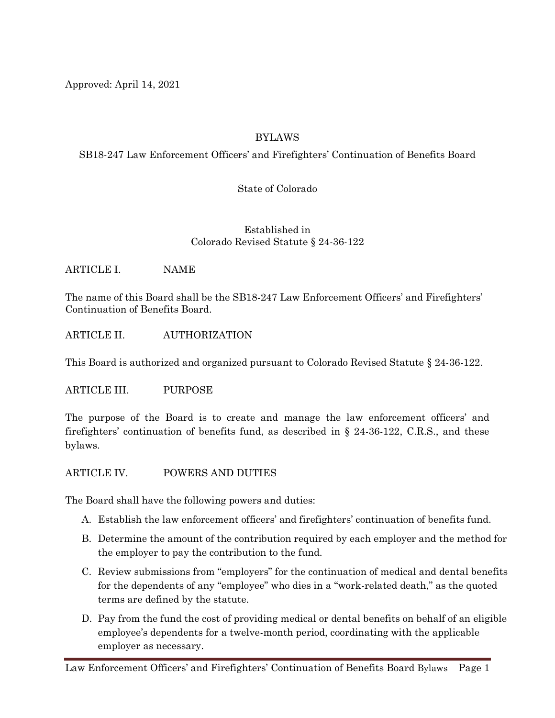Approved: April 14, 2021

# BYLAWS

SB18-247 Law Enforcement Officers' and Firefighters' Continuation of Benefits Board

State of Colorado

Established in Colorado Revised Statute § 24-36-122

ARTICLE I. NAME

The name of this Board shall be the SB18-247 Law Enforcement Officers' and Firefighters' Continuation of Benefits Board.

ARTICLE II. AUTHORIZATION

This Board is authorized and organized pursuant to Colorado Revised Statute § 24-36-122.

ARTICLE III. PURPOSE

The purpose of the Board is to create and manage the law enforcement officers' and firefighters' continuation of benefits fund, as described in § 24-36-122, C.R.S., and these bylaws.

ARTICLE IV. POWERS AND DUTIES

The Board shall have the following powers and duties:

- A. Establish the law enforcement officers' and firefighters' continuation of benefits fund.
- B. Determine the amount of the contribution required by each employer and the method for the employer to pay the contribution to the fund.
- C. Review submissions from "employers" for the continuation of medical and dental benefits for the dependents of any "employee" who dies in a "work-related death," as the quoted terms are defined by the statute.
- D. Pay from the fund the cost of providing medical or dental benefits on behalf of an eligible employee's dependents for a twelve-month period, coordinating with the applicable employer as necessary.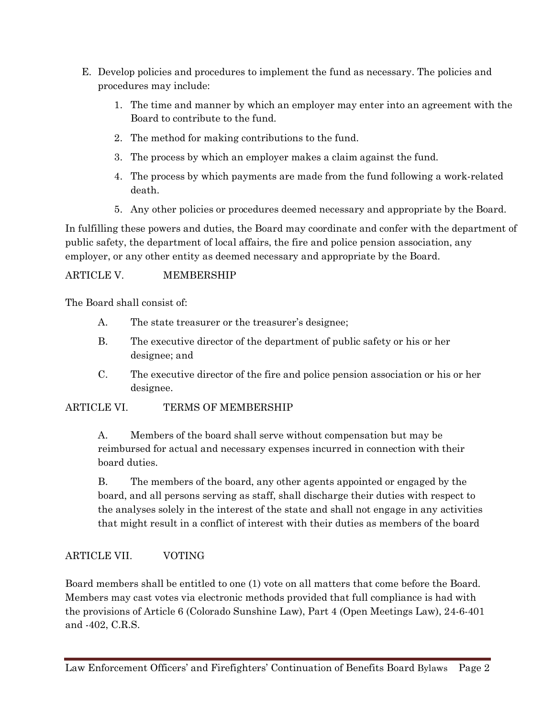- E. Develop policies and procedures to implement the fund as necessary. The policies and procedures may include:
	- 1. The time and manner by which an employer may enter into an agreement with the Board to contribute to the fund.
	- 2. The method for making contributions to the fund.
	- 3. The process by which an employer makes a claim against the fund.
	- 4. The process by which payments are made from the fund following a work-related death.
	- 5. Any other policies or procedures deemed necessary and appropriate by the Board.

In fulfilling these powers and duties, the Board may coordinate and confer with the department of public safety, the department of local affairs, the fire and police pension association, any employer, or any other entity as deemed necessary and appropriate by the Board.

# ARTICLE V. MEMBERSHIP

The Board shall consist of:

- A. The state treasurer or the treasurer's designee;
- B. The executive director of the department of public safety or his or her designee; and
- C. The executive director of the fire and police pension association or his or her designee.

# ARTICLE VI. TERMS OF MEMBERSHIP

A. Members of the board shall serve without compensation but may be reimbursed for actual and necessary expenses incurred in connection with their board duties.

B. The members of the board, any other agents appointed or engaged by the board, and all persons serving as staff, shall discharge their duties with respect to the analyses solely in the interest of the state and shall not engage in any activities that might result in a conflict of interest with their duties as members of the board

# ARTICLE VII. VOTING

Board members shall be entitled to one (1) vote on all matters that come before the Board. Members may cast votes via electronic methods provided that full compliance is had with the provisions of Article 6 (Colorado Sunshine Law), Part 4 (Open Meetings Law), 24-6-401 and -402, C.R.S.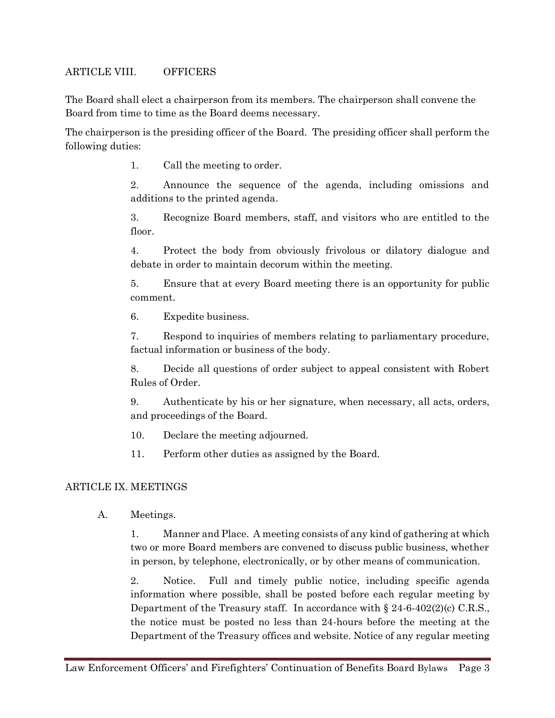#### ARTICLE VIII. OFFICERS

The Board shall elect a chairperson from its members. The chairperson shall convene the Board from time to time as the Board deems necessary.

The chairperson is the presiding officer of the Board. The presiding officer shall perform the following duties:

1. Call the meeting to order.

2. Announce the sequence of the agenda, including omissions and additions to the printed agenda.

3. Recognize Board members, staff, and visitors who are entitled to the floor.

4. Protect the body from obviously frivolous or dilatory dialogue and debate in order to maintain decorum within the meeting.

5. Ensure that at every Board meeting there is an opportunity for public comment.

6. Expedite business.

7. Respond to inquiries of members relating to parliamentary procedure, factual information or business of the body.

8. Decide all questions of order subject to appeal consistent with Robert Rules of Order.

9. Authenticate by his or her signature, when necessary, all acts, orders, and proceedings of the Board.

10. Declare the meeting adjourned.

11. Perform other duties as assigned by the Board.

#### ARTICLE IX. MEETINGS

A. Meetings.

1. Manner and Place. A meeting consists of any kind of gathering at which two or more Board members are convened to discuss public business, whether in person, by telephone, electronically, or by other means of communication.

2. Notice. Full and timely public notice, including specific agenda information where possible, shall be posted before each regular meeting by Department of the Treasury staff. In accordance with § 24-6-402(2)(c) C.R.S., the notice must be posted no less than 24-hours before the meeting at the Department of the Treasury offices and website. Notice of any regular meeting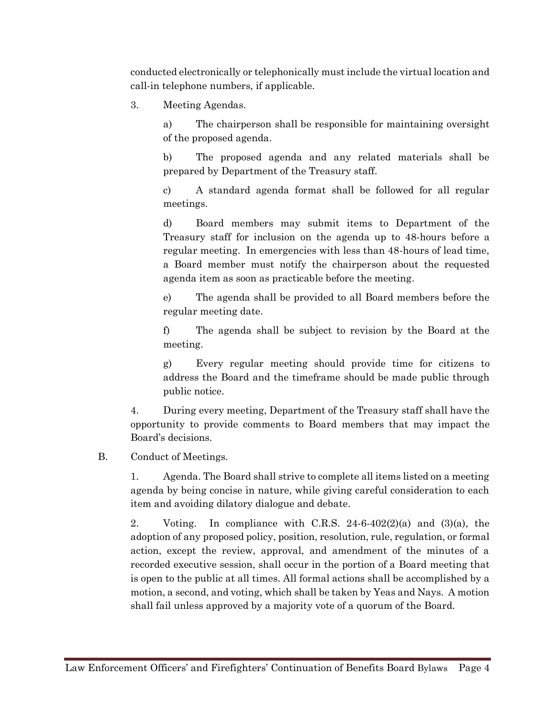conducted electronically or telephonically must include the virtual location and call-in telephone numbers, if applicable.

3. Meeting Agendas.

a) The chairperson shall be responsible for maintaining oversight of the proposed agenda.

b) The proposed agenda and any related materials shall be prepared by Department of the Treasury staff.

c) A standard agenda format shall be followed for all regular meetings.

d) Board members may submit items to Department of the Treasury staff for inclusion on the agenda up to 48-hours before a regular meeting. In emergencies with less than 48-hours of lead time, a Board member must notify the chairperson about the requested agenda item as soon as practicable before the meeting.

e) The agenda shall be provided to all Board members before the regular meeting date.

f) The agenda shall be subject to revision by the Board at the meeting.

g) Every regular meeting should provide time for citizens to address the Board and the timeframe should be made public through public notice.

4. During every meeting, Department of the Treasury staff shall have the opportunity to provide comments to Board members that may impact the Board's decisions.

#### B. Conduct of Meetings.

1. Agenda. The Board shall strive to complete all items listed on a meeting agenda by being concise in nature, while giving careful consideration to each item and avoiding dilatory dialogue and debate.

2. Voting. In compliance with C.R.S.  $24-6-402(2)(a)$  and  $(3)(a)$ , the adoption of any proposed policy, position, resolution, rule, regulation, or formal action, except the review, approval, and amendment of the minutes of a recorded executive session, shall occur in the portion of a Board meeting that is open to the public at all times. All formal actions shall be accomplished by a motion, a second, and voting, which shall be taken by Yeas and Nays. A motion shall fail unless approved by a majority vote of a quorum of the Board.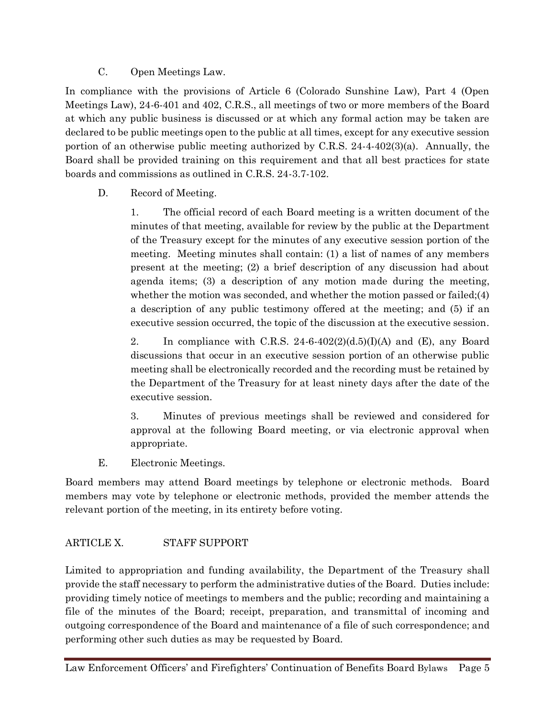C. Open Meetings Law.

In compliance with the provisions of Article 6 (Colorado Sunshine Law), Part 4 (Open Meetings Law), 24-6-401 and 402, C.R.S., all meetings of two or more members of the Board at which any public business is discussed or at which any formal action may be taken are declared to be public meetings open to the public at all times, except for any executive session portion of an otherwise public meeting authorized by C.R.S. 24-4-402(3)(a). Annually, the Board shall be provided training on this requirement and that all best practices for state boards and commissions as outlined in C.R.S. 24-3.7-102.

# D. Record of Meeting.

1. The official record of each Board meeting is a written document of the minutes of that meeting, available for review by the public at the Department of the Treasury except for the minutes of any executive session portion of the meeting. Meeting minutes shall contain: (1) a list of names of any members present at the meeting; (2) a brief description of any discussion had about agenda items; (3) a description of any motion made during the meeting, whether the motion was seconded, and whether the motion passed or failed;(4) a description of any public testimony offered at the meeting; and (5) if an executive session occurred, the topic of the discussion at the executive session.

2. In compliance with C.R.S. 24-6-402(2)(d.5)(I)(A) and (E), any Board discussions that occur in an executive session portion of an otherwise public meeting shall be electronically recorded and the recording must be retained by the Department of the Treasury for at least ninety days after the date of the executive session.

3. Minutes of previous meetings shall be reviewed and considered for approval at the following Board meeting, or via electronic approval when appropriate.

E. Electronic Meetings.

Board members may attend Board meetings by telephone or electronic methods. Board members may vote by telephone or electronic methods, provided the member attends the relevant portion of the meeting, in its entirety before voting.

# ARTICLE X. STAFF SUPPORT

Limited to appropriation and funding availability, the Department of the Treasury shall provide the staff necessary to perform the administrative duties of the Board. Duties include: providing timely notice of meetings to members and the public; recording and maintaining a file of the minutes of the Board; receipt, preparation, and transmittal of incoming and outgoing correspondence of the Board and maintenance of a file of such correspondence; and performing other such duties as may be requested by Board.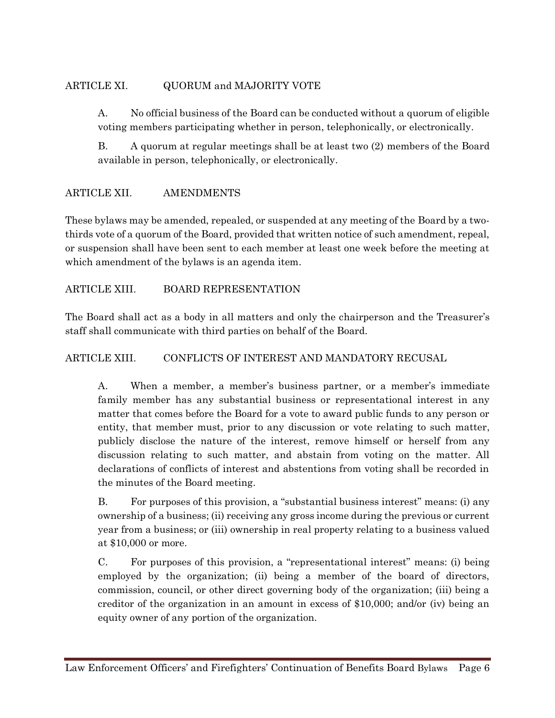# ARTICLE XI. QUORUM and MAJORITY VOTE

A. No official business of the Board can be conducted without a quorum of eligible voting members participating whether in person, telephonically, or electronically.

B. A quorum at regular meetings shall be at least two (2) members of the Board available in person, telephonically, or electronically.

# ARTICLE XII. AMENDMENTS

These bylaws may be amended, repealed, or suspended at any meeting of the Board by a twothirds vote of a quorum of the Board, provided that written notice of such amendment, repeal, or suspension shall have been sent to each member at least one week before the meeting at which amendment of the bylaws is an agenda item.

# ARTICLE XIII. BOARD REPRESENTATION

The Board shall act as a body in all matters and only the chairperson and the Treasurer's staff shall communicate with third parties on behalf of the Board.

# ARTICLE XIII. CONFLICTS OF INTEREST AND MANDATORY RECUSAL

A. When a member, a member's business partner, or a member's immediate family member has any substantial business or representational interest in any matter that comes before the Board for a vote to award public funds to any person or entity, that member must, prior to any discussion or vote relating to such matter, publicly disclose the nature of the interest, remove himself or herself from any discussion relating to such matter, and abstain from voting on the matter. All declarations of conflicts of interest and abstentions from voting shall be recorded in the minutes of the Board meeting.

B. For purposes of this provision, a "substantial business interest" means: (i) any ownership of a business; (ii) receiving any gross income during the previous or current year from a business; or (iii) ownership in real property relating to a business valued at \$10,000 or more.

C. For purposes of this provision, a "representational interest" means: (i) being employed by the organization; (ii) being a member of the board of directors, commission, council, or other direct governing body of the organization; (iii) being a creditor of the organization in an amount in excess of \$10,000; and/or (iv) being an equity owner of any portion of the organization.